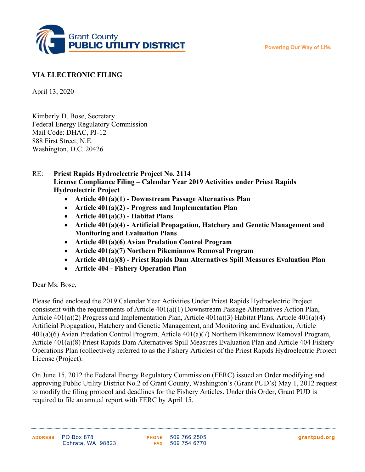Powering Our Way of Life.



## VIA ELECTRONIC FILING

April 13, 2020

Kimberly D. Bose, Secretary Federal Energy Regulatory Commission Mail Code: DHAC, PJ-12 888 First Street, N.E. Washington, D.C. 20426

## RE: Priest Rapids Hydroelectric Project No. 2114 License Compliance Filing – Calendar Year 2019 Activities under Priest Rapids Hydroelectric Project

- Article 401(a)(1) Downstream Passage Alternatives Plan
- Article  $401(a)(2)$  Progress and Implementation Plan
- Article  $401(a)(3)$  Habitat Plans
- Article 401(a)(4) Artificial Propagation, Hatchery and Genetic Management and Monitoring and Evaluation Plans
- Article 401(a)(6) Avian Predation Control Program
- Article 401(a)(7) Northern Pikeminnow Removal Program
- Article 401(a)(8) Priest Rapids Dam Alternatives Spill Measures Evaluation Plan
- Article 404 Fishery Operation Plan

## Dear Ms. Bose,

Please find enclosed the 2019 Calendar Year Activities Under Priest Rapids Hydroelectric Project consistent with the requirements of Article 401(a)(1) Downstream Passage Alternatives Action Plan, Article 401(a)(2) Progress and Implementation Plan, Article 401(a)(3) Habitat Plans, Article 401(a)(4) Artificial Propagation, Hatchery and Genetic Management, and Monitoring and Evaluation, Article 401(a)(6) Avian Predation Control Program, Article 401(a)(7) Northern Pikeminnow Removal Program, Article 401(a)(8) Priest Rapids Dam Alternatives Spill Measures Evaluation Plan and Article 404 Fishery Operations Plan (collectively referred to as the Fishery Articles) of the Priest Rapids Hydroelectric Project License (Project).

On June 15, 2012 the Federal Energy Regulatory Commission (FERC) issued an Order modifying and approving Public Utility District No.2 of Grant County, Washington's (Grant PUD's) May 1, 2012 request to modify the filing protocol and deadlines for the Fishery Articles. Under this Order, Grant PUD is required to file an annual report with FERC by April 15.